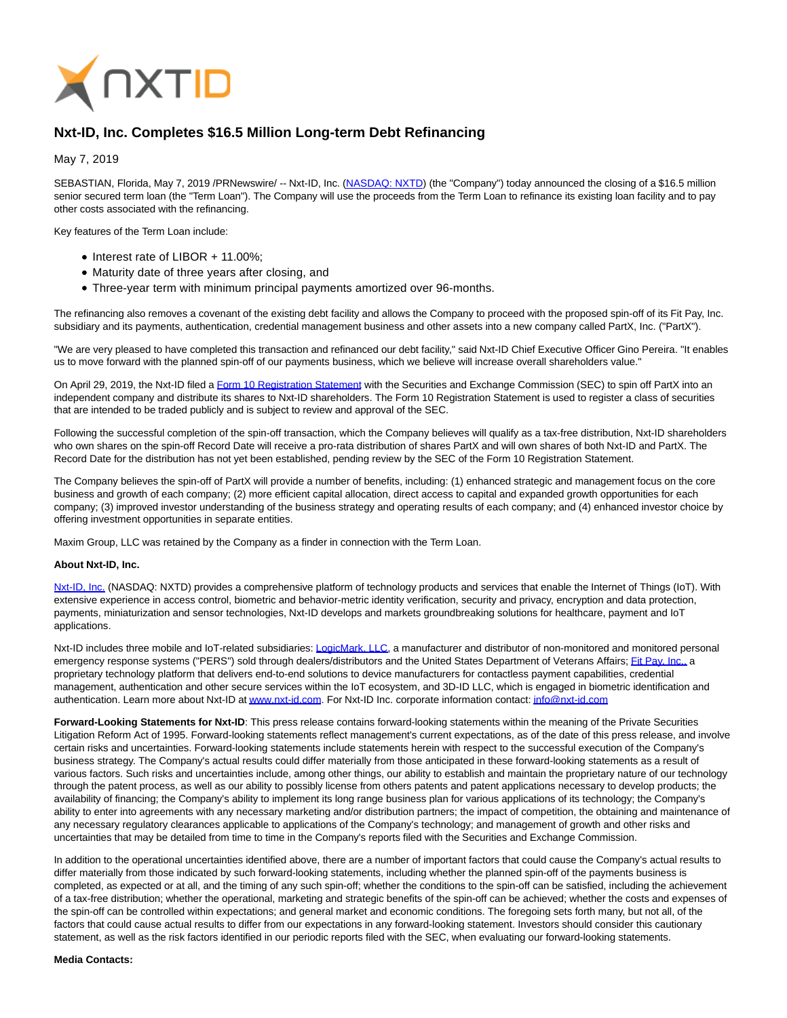

## **Nxt-ID, Inc. Completes \$16.5 Million Long-term Debt Refinancing**

May 7, 2019

SEBASTIAN, Florida, May 7, 2019 /PRNewswire/ -- Nxt-ID, Inc. [\(NASDAQ: NXTD\)](https://finance.yahoo.com/quote/NXTD?p=NXTD&.tsrc=fin-srch) (the "Company") today announced the closing of a \$16.5 million senior secured term loan (the "Term Loan"). The Company will use the proceeds from the Term Loan to refinance its existing loan facility and to pay other costs associated with the refinancing.

Key features of the Term Loan include:

- Interest rate of LIBOR + 11.00%:
- Maturity date of three years after closing, and
- Three-year term with minimum principal payments amortized over 96-months.

The refinancing also removes a covenant of the existing debt facility and allows the Company to proceed with the proposed spin-off of its Fit Pay, Inc. subsidiary and its payments, authentication, credential management business and other assets into a new company called PartX, Inc. ("PartX").

"We are very pleased to have completed this transaction and refinanced our debt facility," said Nxt-ID Chief Executive Officer Gino Pereira. "It enables us to move forward with the planned spin-off of our payments business, which we believe will increase overall shareholders value."

On April 29, 2019, the Nxt-ID filed a [Form 10 Registration Statement w](https://www.sec.gov/cgi-bin/browse-edgar?company=PARTX&owner=exclude&action=getcompany)ith the Securities and Exchange Commission (SEC) to spin off PartX into an independent company and distribute its shares to Nxt-ID shareholders. The Form 10 Registration Statement is used to register a class of securities that are intended to be traded publicly and is subject to review and approval of the SEC.

Following the successful completion of the spin-off transaction, which the Company believes will qualify as a tax-free distribution, Nxt-ID shareholders who own shares on the spin-off Record Date will receive a pro-rata distribution of shares PartX and will own shares of both Nxt-ID and PartX. The Record Date for the distribution has not yet been established, pending review by the SEC of the Form 10 Registration Statement.

The Company believes the spin-off of PartX will provide a number of benefits, including: (1) enhanced strategic and management focus on the core business and growth of each company; (2) more efficient capital allocation, direct access to capital and expanded growth opportunities for each company; (3) improved investor understanding of the business strategy and operating results of each company; and (4) enhanced investor choice by offering investment opportunities in separate entities.

Maxim Group, LLC was retained by the Company as a finder in connection with the Term Loan.

## **About Nxt-ID, Inc.**

[Nxt-ID, Inc. \(](http://www.nxt-id.com/)NASDAQ: NXTD) provides a comprehensive platform of technology products and services that enable the Internet of Things (IoT). With extensive experience in access control, biometric and behavior-metric identity verification, security and privacy, encryption and data protection, payments, miniaturization and sensor technologies, Nxt-ID develops and markets groundbreaking solutions for healthcare, payment and IoT applications.

Nxt-ID includes three mobile and IoT-related subsidiaries: [LogicMark, LLC,](https://www.logicmark.com/) a manufacturer and distributor of non-monitored and monitored personal emergency response systems ("PERS") sold through dealers/distributors and the United States Department of Veterans Affairs[; Fit Pay, Inc., a](http://www.fit-pay.com/) proprietary technology platform that delivers end-to-end solutions to device manufacturers for contactless payment capabilities, credential management, authentication and other secure services within the IoT ecosystem, and 3D-ID LLC, which is engaged in biometric identification and authentication. Learn more about Nxt-ID a[t www.nxt-id.com.](http://www.nxt-id.com/) For Nxt-ID Inc. corporate information contact[: info@nxt-id.com](mailto:info@nxt-id.com)

**Forward-Looking Statements for Nxt-ID**: This press release contains forward-looking statements within the meaning of the Private Securities Litigation Reform Act of 1995. Forward-looking statements reflect management's current expectations, as of the date of this press release, and involve certain risks and uncertainties. Forward-looking statements include statements herein with respect to the successful execution of the Company's business strategy. The Company's actual results could differ materially from those anticipated in these forward-looking statements as a result of various factors. Such risks and uncertainties include, among other things, our ability to establish and maintain the proprietary nature of our technology through the patent process, as well as our ability to possibly license from others patents and patent applications necessary to develop products; the availability of financing; the Company's ability to implement its long range business plan for various applications of its technology; the Company's ability to enter into agreements with any necessary marketing and/or distribution partners; the impact of competition, the obtaining and maintenance of any necessary regulatory clearances applicable to applications of the Company's technology; and management of growth and other risks and uncertainties that may be detailed from time to time in the Company's reports filed with the Securities and Exchange Commission.

In addition to the operational uncertainties identified above, there are a number of important factors that could cause the Company's actual results to differ materially from those indicated by such forward-looking statements, including whether the planned spin-off of the payments business is completed, as expected or at all, and the timing of any such spin-off; whether the conditions to the spin-off can be satisfied, including the achievement of a tax-free distribution; whether the operational, marketing and strategic benefits of the spin-off can be achieved; whether the costs and expenses of the spin-off can be controlled within expectations; and general market and economic conditions. The foregoing sets forth many, but not all, of the factors that could cause actual results to differ from our expectations in any forward-looking statement. Investors should consider this cautionary statement, as well as the risk factors identified in our periodic reports filed with the SEC, when evaluating our forward-looking statements.

## **Media Contacts:**